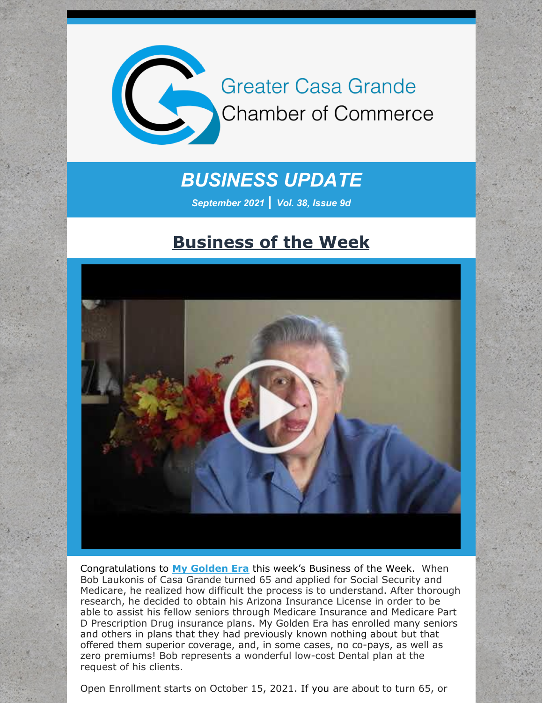

## *BUSINESS UPDATE*

*September 2021 | Vol. 38, Issue 9d*

#### **Business of the Week**



Congratulations to **My [Golden](http://www.mygoldenera.com/) Era** this week's Business of the Week. When Bob Laukonis of Casa Grande turned 65 and applied for Social Security and Medicare, he realized how difficult the process is to understand. After thorough research, he decided to obtain his Arizona Insurance License in order to be able to assist his fellow seniors through Medicare Insurance and Medicare Part D Prescription Drug insurance plans. My Golden Era has enrolled many seniors and others in plans that they had previously known nothing about but that offered them superior coverage, and, in some cases, no co-pays, as well as zero premiums! Bob represents a wonderful low-cost Dental plan at the request of his clients.

Open Enrollment starts on October 15, 2021. If you are about to turn 65, or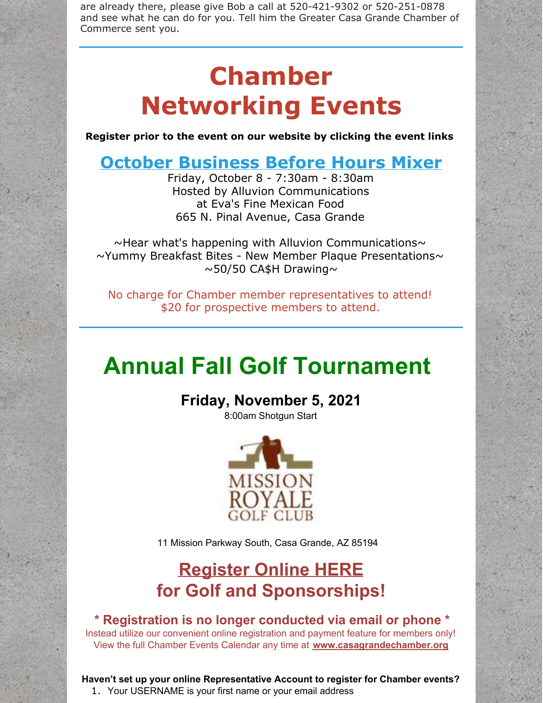are already there, please give Bob a call at 520-421-9302 or 520-251-0878 and see what he can do for you. Tell him the Greater Casa Grande Chamber of Commerce sent you.

# **Chamber Networking Events**

**Register prior to the event on our website by clicking the event links**

### **October [Business](https://cca.casagrandechamber.org/EvtListing.aspx?dbid2=AZCAGR&evtid=23894&class=E) Before Hours Mixer**

Friday, October 8 - 7:30am - 8:30am Hosted by Alluvion Communications at Eva's Fine Mexican Food 665 N. Pinal Avenue, Casa Grande

 $\sim$ Hear what's happening with Alluvion Communications $\sim$  $\sim$ Yummy Breakfast Bites - New Member Plaque Presentations $\sim$  $\sim$ 50/50 CA\$H Drawing $\sim$ 

No charge for Chamber member representatives to attend! \$20 for prospective members to attend.

# **Annual Fall Golf Tournament**

**Friday, November 5, 2021**

8:00am Shotgun Start



11 Mission Parkway South, Casa Grande, AZ 85194

## **[Register](https://cca.casagrandechamber.org/EvtListing.aspx?dbid2=AZCAGR&evtid=20785&class=E) Online HERE for Golf and Sponsorships!**

#### **\* Registration is no longer conducted via email or phone \*** Instead utilize our convenient online registration and payment feature for members only! View the full Chamber Events Calendar any time at **[www.casagrandechamber.org](http://www.casagrandechamber.org)**

**Haven't set up your online Representative Account to register for Chamber events?** 1. Your USERNAME is your first name or your email address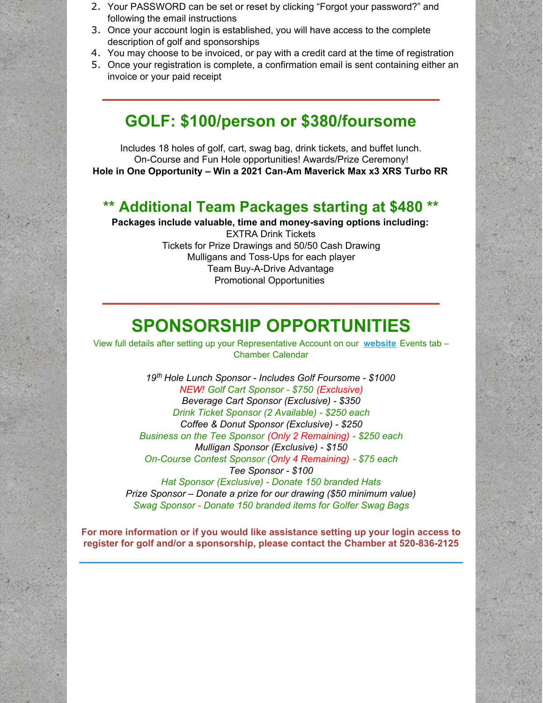- 2. Your PASSWORD can be set or reset by clicking "Forgot your password?" and following the email instructions
- 3. Once your account login is established, you will have access to the complete description of golf and sponsorships
- 4. You may choose to be invoiced, or pay with a credit card at the time of registration
- 5. Once your registration is complete, a confirmation email is sent containing either an invoice or your paid receipt

**\_\_\_\_\_\_\_\_\_\_\_\_\_\_\_\_\_\_\_\_\_\_\_\_\_\_\_\_\_**

#### **GOLF: \$100/person or \$380/foursome**

Includes 18 holes of golf, cart, swag bag, drink tickets, and buffet lunch. On-Course and Fun Hole opportunities! Awards/Prize Ceremony! **Hole in One Opportunity – Win a 2021 Can-Am Maverick Max x3 XRS Turbo RR**

#### **\*\* Additional Team Packages starting at \$480 \*\***

**Packages include valuable, time and money-saving options including:** EXTRA Drink Tickets Tickets for Prize Drawings and 50/50 Cash Drawing Mulligans and Toss-Ups for each player Team Buy-A-Drive Advantage Promotional Opportunities

### **SPONSORSHIP OPPORTUNITIES**

**\_\_\_\_\_\_\_\_\_\_\_\_\_\_\_\_\_\_\_\_\_\_\_\_\_\_\_\_\_**

View full details after setting up your Representative Account on our **[website](http://www.casagrandechamber.org)** Events tab – Chamber Calendar

*19 th Hole Lunch Sponsor - Includes Golf Foursome - \$1000 NEW! Golf Cart Sponsor - \$750 (Exclusive) Beverage Cart Sponsor (Exclusive) - \$350 Drink Ticket Sponsor (2 Available) - \$250 each Coffee & Donut Sponsor (Exclusive) - \$250 Business on the Tee Sponsor (Only 2 Remaining) - \$250 each Mulligan Sponsor (Exclusive) - \$150 On-Course Contest Sponsor (Only 4 Remaining) - \$75 each Tee Sponsor - \$100 Hat Sponsor (Exclusive) - Donate 150 branded Hats Prize Sponsor – Donate a prize for our drawing (\$50 minimum value) Swag Sponsor - Donate 150 branded items for Golfer Swag Bags*

**For more information or if you would like assistance setting up your login access to register for golf and/or a sponsorship, please contact the Chamber at 520-836-2125**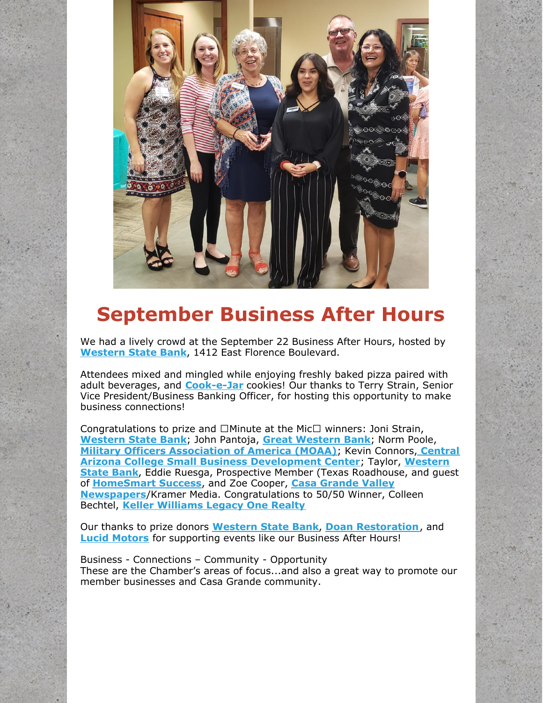

# **September Business After Hours**

We had a lively crowd at the September 22 Business After Hours, hosted by **[Western](http://www.westernbanks.com) State Bank**, 1412 East Florence Boulevard.

Attendees mixed and mingled while enjoying freshly baked pizza paired with adult beverages, and **[Cook-e-Jar](http://www.cook-e-jar.com)** cookies! Our thanks to Terry Strain, Senior Vice President/Business Banking Officer, for hosting this opportunity to make business connections!

Congratulations to prize and  $\Box$  Minute at the Mic $\Box$  winners: Joni Strain, **[Western](http://www.westernbanks.com) State Bank**; John Pantoja, **Great [Western](http://www.greatwesternbank.com) Bank**; Norm Poole, **Military Officers [Association](http://www.smcmoaa.org) of America (MOAA)**; Kevin Connors, **Central Arizona College Small Business [Development](http://www.westernbanks.com) Center**; Taylor, **Western State Bank**, Eddie Ruesga, Prospective Member (Texas Roadhouse, and guest of **[HomeSmart](http://www.homesmartsuccess.com) Success**, and Zoe Cooper, **Casa Grande Valley Newspapers**/Kramer Media. [Congratulations](http://www.pinalcentral.com) to 50/50 Winner, Colleen Bechtel, **Keller [Williams](http://www.advhometeam.com) Legacy One Realty**

Our thanks to prize donors **[Western](http://www.westernbanks.com) State Bank**, **Doan [Restoration](http://www.doanrestoration.com)**, and **Lucid [Motors](http://www.lucidmotors.com)** for supporting events like our Business After Hours!

Business - Connections – Community - Opportunity These are the Chamber's areas of focus...and also a great way to promote our member businesses and Casa Grande community.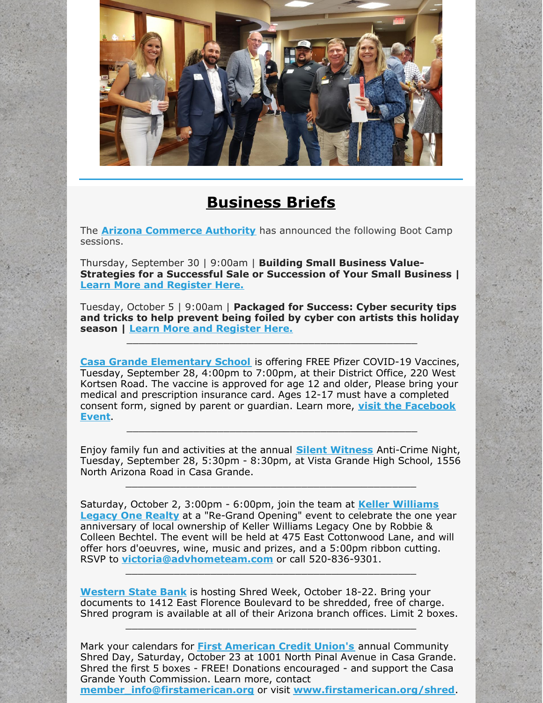

#### **Business Briefs**

The **Arizona [Commerce](http://r20.rs6.net/tn.jsp?f=001SkEbY6S5c_cQ3y1HIaOw0L8jlX9abf_pEcIRRHG4Yi9DmrL60O5qqbS0cIsAlwk8qt5PCLvUm1m7XDGV7FW-AV7fSfGUTj05S6WJYXcAH07nDPiO8eD3s42OpoRYpl-uFgPvFRr52ysAnWQiPnGB1Q==&c=40Rchfu24fH_FSH_SPfTMXFJfdwMX2fJ9RdcTJQdqdoM4_J4K6Yrog==&ch=_uiGZHVIP-vChPUTNtsEjpPTVZUaeuo3h9avpJB2DGRYFnfbn9Takw==) Authority** has announced the following Boot Camp sessions.

Thursday, September 30 | 9:00am | **Building Small Business Value-Strategies for a Successful Sale or Succession of Your Small Business | Learn More and [Register](https://azcommerce.zoom.us/webinar/register/WN_rzgZHB4OTW2y-FAwvjZR1w) Here.**

Tuesday, October 5 | 9:00am | **Packaged for Success: Cyber security tips and tricks to help prevent being foiled by cyber con artists this holiday season | Learn More and [Register](https://azcommerce.zoom.us/webinar/register/WN_uLCAzi4hTLm8jkP_OWDQxg) Here.**

\_\_\_\_\_\_\_\_\_\_\_\_\_\_\_\_\_\_\_\_\_\_\_\_\_\_\_\_\_\_\_\_\_\_\_\_\_\_\_\_\_\_\_\_\_\_\_\_

**Casa Grande [Elementary](http://www.cgesd.org) School** is offering FREE Pfizer COVID-19 Vaccines, Tuesday, September 28, 4:00pm to 7:00pm, at their District Office, 220 West Kortsen Road. The vaccine is approved for age 12 and older, Please bring your medical and prescription insurance card. Ages 12-17 must have a completed consent form, signed by parent or guardian. Learn more, **visit the [Facebook](https://www.facebook.com/events/225970329548744/?ref=newsfeed) Event**.

Enjoy family fun and activities at the annual **Silent [Witness](http://www.casagrandesilentwitness.com)** Anti-Crime Night, Tuesday, September 28, 5:30pm - 8:30pm, at Vista Grande High School, 1556 North Arizona Road in Casa Grande.

\_\_\_\_\_\_\_\_\_\_\_\_\_\_\_\_\_\_\_\_\_\_\_\_\_\_\_\_\_\_\_\_\_\_\_\_\_\_\_\_\_\_\_\_\_\_\_\_

\_\_\_\_\_\_\_\_\_\_\_\_\_\_\_\_\_\_\_\_\_\_\_\_\_\_\_\_\_\_\_\_\_\_\_\_\_\_\_\_\_\_\_\_\_\_\_\_

Saturday, October 2, 3:00pm - 6:00pm, join the team at **Keller Williams Legacy One Realty** at a ["Re-Grand](http://www.advhometeam.com) Opening" event to celebrate the one year anniversary of local ownership of Keller Williams Legacy One by Robbie & Colleen Bechtel. The event will be held at 475 East Cottonwood Lane, and will offer hors d'oeuvres, wine, music and prizes, and a 5:00pm ribbon cutting. RSVP to **[victoria@advhometeam.com](mailto:victoria@advhometeam.com)** or call 520-836-9301.

**[Western](http://www.westernbanks.com/) State Bank** is hosting Shred Week, October 18-22. Bring your documents to 1412 East Florence Boulevard to be shredded, free of charge. Shred program is available at all of their Arizona branch offices. Limit 2 boxes.

\_\_\_\_\_\_\_\_\_\_\_\_\_\_\_\_\_\_\_\_\_\_\_\_\_\_\_\_\_\_\_\_\_\_\_\_\_\_\_\_\_\_\_\_\_\_\_\_

\_\_\_\_\_\_\_\_\_\_\_\_\_\_\_\_\_\_\_\_\_\_\_\_\_\_\_\_\_\_\_\_\_\_\_\_\_\_\_\_\_\_\_\_\_\_\_\_

Mark your calendars for **First [American](http://www.firstamerican.org) Credit Union's** annual Community Shred Day, Saturday, October 23 at 1001 North Pinal Avenue in Casa Grande. Shred the first 5 boxes - FREE! Donations encouraged - and support the Casa Grande Youth Commission. Learn more, contact **[member\\_info@firstamerican.org](mailto:member_info@firstamerican.org)** or visit **[www.firstamerican.org/shred](http://www.firstamerican.org/shred)**.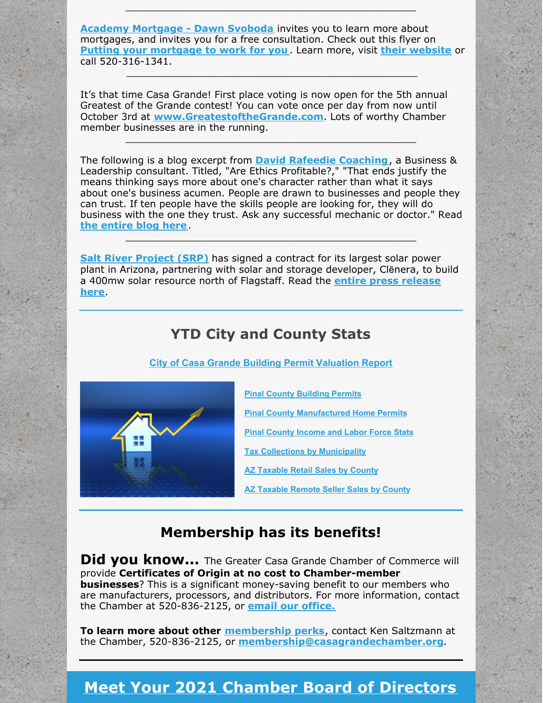**Academy [Mortgage](https://r20.rs6.net/tn.jsp?f=001EN734VFBR0ZW5182MWC7XiScX5aZXIf-MxpOOFzS8OCmPak4uUmITSCk2uuwvCgCaZQ5-UxEK2JWHVDQ7FoLA8w75id_Uix9KmBZtbQ0DCKuOtCFgVehmRzFKMpxezjoaTRoO2eFQIY9HUSXwrFTj6B8KaWTRlb7io4WYesFRMC853xjm-4Ool-BTCL_Js2ZOiU4tj0zLjsRYtFXiXaMtB8VUb3QYysi8mEwAsijzo8=&c=sxxBZ2Lc7UB6pzbS3jycbIGlNDXdj8D_ogD0TSkOZYu07N4pp-wobA==&ch=0d1p0Az7npJT63MUnmUPNO4hj_sy-7R6HjfThGZd2xJ3-FMa2cRIkA==) - Dawn Svoboda** invites you to learn more about mortgages, and invites you for a free consultation. Check out this flyer on **Putting your [mortgage](https://files.constantcontact.com/8c5f2f7b701/9a8b3510-67c0-4f80-8541-343fc4231817.pdf) to work for you** . Learn more, visit **their [website](https://r20.rs6.net/tn.jsp?f=001EN734VFBR0ZW5182MWC7XiScX5aZXIf-MxpOOFzS8OCmPak4uUmITb5NGfAeUMPhoOVntnf6pHVF1qOACoWlzyt1tZX0SsOYAMR8VVrNfitU1xvvM3eFnI6raup7cqe2vCNJQ3RFOH0f_Hy6Dx40upzLm_i02U_wv4AhoOs39yk=&c=sxxBZ2Lc7UB6pzbS3jycbIGlNDXdj8D_ogD0TSkOZYu07N4pp-wobA==&ch=0d1p0Az7npJT63MUnmUPNO4hj_sy-7R6HjfThGZd2xJ3-FMa2cRIkA==)** or call 520-316-1341.

\_\_\_\_\_\_\_\_\_\_\_\_\_\_\_\_\_\_\_\_\_\_\_\_\_\_\_\_\_\_\_\_\_\_\_\_\_\_\_\_\_\_\_\_\_\_\_\_

\_\_\_\_\_\_\_\_\_\_\_\_\_\_\_\_\_\_\_\_\_\_\_\_\_\_\_\_\_\_\_\_\_\_\_\_\_\_\_\_\_\_\_\_\_\_\_\_

It's that time Casa Grande! First place voting is now open for the 5th annual Greatest of the Grande contest! You can vote once per day from now until October 3rd at **[www.GreatestoftheGrande.com](http://www.greatestofthegrande.com/)**. Lots of worthy Chamber member businesses are in the running.

The following is a blog excerpt from **David Rafeedie [Coaching](http://www.davidthecoach.com)**, a Business & Leadership consultant. Titled, "Are Ethics Profitable?," "That ends justify the means thinking says more about one's character rather than what it says about one's business acumen. People are drawn to businesses and people they can trust. If ten people have the skills people are looking for, they will do business with the one they trust. Ask any successful mechanic or doctor." Read **the [entire](https://davidthecoach.com/blog/2021/9/20/are-ethics-profitable) blog here**.

\_\_\_\_\_\_\_\_\_\_\_\_\_\_\_\_\_\_\_\_\_\_\_\_\_\_\_\_\_\_\_\_\_\_\_\_\_\_\_\_\_\_\_\_\_\_\_\_

\_\_\_\_\_\_\_\_\_\_\_\_\_\_\_\_\_\_\_\_\_\_\_\_\_\_\_\_\_\_\_\_\_\_\_\_\_\_\_\_\_\_\_\_\_\_\_\_

**Salt River [Project](http://www.srpnet.com) (SRP)** has signed a contract for its largest solar power plant in Arizona, partnering with solar and storage developer, Clēnera, to build a 400mw solar resource north of [Flagstaff.](https://media.srpnet.com/srp-signs-contract-for-its-largest-solar-power-plant-in-arizona/) Read the **entire press release here**.

#### **YTD City and County Stats**

#### **City of Casa Grande Building Permit [Valuation](https://files.constantcontact.com/8c5f2f7b701/84c4478d-3760-4f46-9502-dc2830f93ddb.pdf) Report**



**Pinal County [Building](https://files.constantcontact.com/8c5f2f7b701/127f484b-aa47-4e53-a199-8d16c71e62ef.pdf) Permits Pinal County [Manufactured](https://files.constantcontact.com/8c5f2f7b701/05d54a4f-6b62-4221-b711-51e6248b4cca.pdf) Home Permits Pinal County [Income](https://www.azeconomy.org/data/pinal-county/) and Labor Force Stats**

**Tax Collections by [Municipality](https://files.constantcontact.com/8c5f2f7b701/43e84b46-bf60-4678-9fa8-e1fa813fb0b1.pdf)**

**AZ [Taxable](https://files.constantcontact.com/8c5f2f7b701/41029875-193f-4550-976a-2ed3c87b2c24.pdf) Retail Sales by County**

**AZ [Taxable](https://files.constantcontact.com/8c5f2f7b701/e03e2929-e6d7-4937-883c-47322c2692a7.pdf) Remote Seller Sales by County**

#### **Membership has its benefits!**

**Did you know...** The Greater Casa Grande Chamber of Commerce will provide **Certificates of Origin at no cost to Chamber-member businesses**? This is a significant money-saving benefit to our members who are manufacturers, processors, and distributors. For more information, contact the Chamber at 520-836-2125, or **email our [office.](mailto:president@casagrandechamber.org)**

**To learn more about other [membership](https://casagrandechamber.org/member-benefits/) perks**, contact Ken Saltzmann at the Chamber, 520-836-2125, or **[membership@casagrandechamber.org](mailto:membership@casagrandechamber.org)**.

#### **Meet Your 2021 Chamber Board of [Directors](https://casagrandechamber.org/board-of-directors/)**